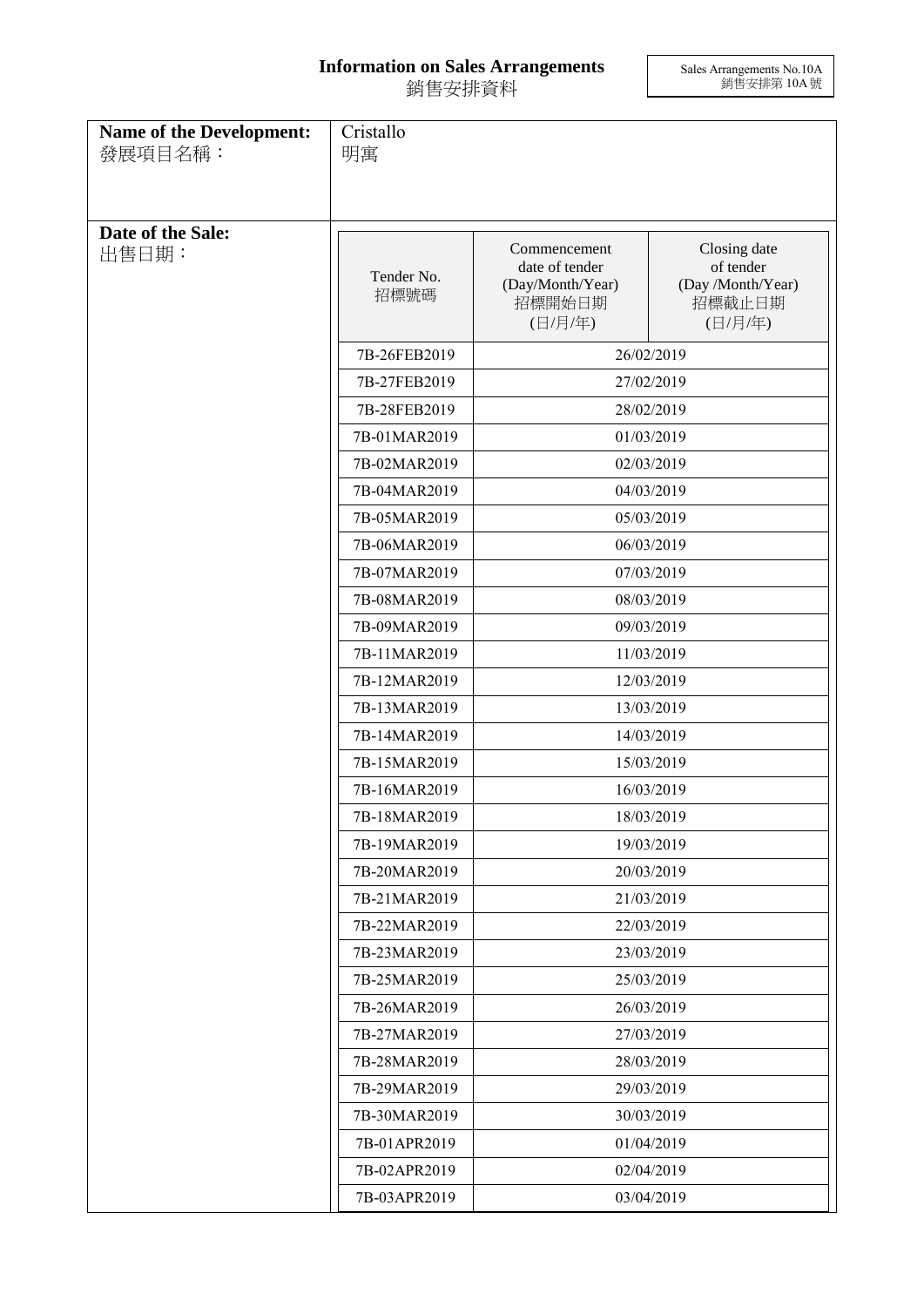## **Information on Sales Arrangements** 銷售安排資料

Sales Arrangements No.10A 銷售安排第 10A 號

| <b>Name of the Development:</b><br>發展項目名稱: | Cristallo<br>明寓    |                                                                         |                                                                     |  |
|--------------------------------------------|--------------------|-------------------------------------------------------------------------|---------------------------------------------------------------------|--|
|                                            |                    |                                                                         |                                                                     |  |
| Date of the Sale:<br>出售日期:                 | Tender No.<br>招標號碼 | Commencement<br>date of tender<br>(Day/Month/Year)<br>招標開始日期<br>(日/月/年) | Closing date<br>of tender<br>(Day /Month/Year)<br>招標截止日期<br>(日/月/年) |  |
|                                            | 7B-26FEB2019       |                                                                         | 26/02/2019                                                          |  |
|                                            | 7B-27FEB2019       |                                                                         | 27/02/2019                                                          |  |
|                                            | 7B-28FEB2019       |                                                                         | 28/02/2019                                                          |  |
|                                            | 7B-01MAR2019       |                                                                         | 01/03/2019                                                          |  |
|                                            | 7B-02MAR2019       |                                                                         | 02/03/2019                                                          |  |
|                                            | 7B-04MAR2019       |                                                                         | 04/03/2019                                                          |  |
|                                            | 7B-05MAR2019       |                                                                         | 05/03/2019                                                          |  |
|                                            | 7B-06MAR2019       |                                                                         | 06/03/2019                                                          |  |
|                                            | 7B-07MAR2019       | 07/03/2019                                                              |                                                                     |  |
|                                            | 7B-08MAR2019       | 08/03/2019                                                              |                                                                     |  |
|                                            | 7B-09MAR2019       | 09/03/2019                                                              |                                                                     |  |
|                                            | 7B-11MAR2019       | 11/03/2019                                                              |                                                                     |  |
|                                            | 7B-12MAR2019       | 12/03/2019                                                              |                                                                     |  |
|                                            | 7B-13MAR2019       |                                                                         | 13/03/2019                                                          |  |
|                                            | 7B-14MAR2019       |                                                                         | 14/03/2019                                                          |  |
|                                            | 7B-15MAR2019       |                                                                         | 15/03/2019                                                          |  |
|                                            | 7B-16MAR2019       | 16/03/2019                                                              |                                                                     |  |
|                                            | 7B-18MAR2019       | 18/03/2019                                                              |                                                                     |  |
|                                            | 7B-19MAR2019       |                                                                         | 19/03/2019                                                          |  |
|                                            | 7B-20MAR2019       |                                                                         | 20/03/2019                                                          |  |
|                                            | 7B-21MAR2019       |                                                                         | 21/03/2019                                                          |  |
|                                            | 7B-22MAR2019       |                                                                         | 22/03/2019                                                          |  |
|                                            | 7B-23MAR2019       |                                                                         | 23/03/2019                                                          |  |
|                                            | 7B-25MAR2019       | 25/03/2019                                                              |                                                                     |  |
|                                            | 7B-26MAR2019       | 26/03/2019                                                              |                                                                     |  |
|                                            | 7B-27MAR2019       | 27/03/2019                                                              |                                                                     |  |
|                                            | 7B-28MAR2019       | 28/03/2019                                                              |                                                                     |  |
|                                            | 7B-29MAR2019       |                                                                         | 29/03/2019                                                          |  |
|                                            | 7B-30MAR2019       |                                                                         | 30/03/2019                                                          |  |
|                                            | 7B-01APR2019       |                                                                         | 01/04/2019                                                          |  |
|                                            | 7B-02APR2019       |                                                                         | 02/04/2019                                                          |  |
|                                            | 7B-03APR2019       | 03/04/2019                                                              |                                                                     |  |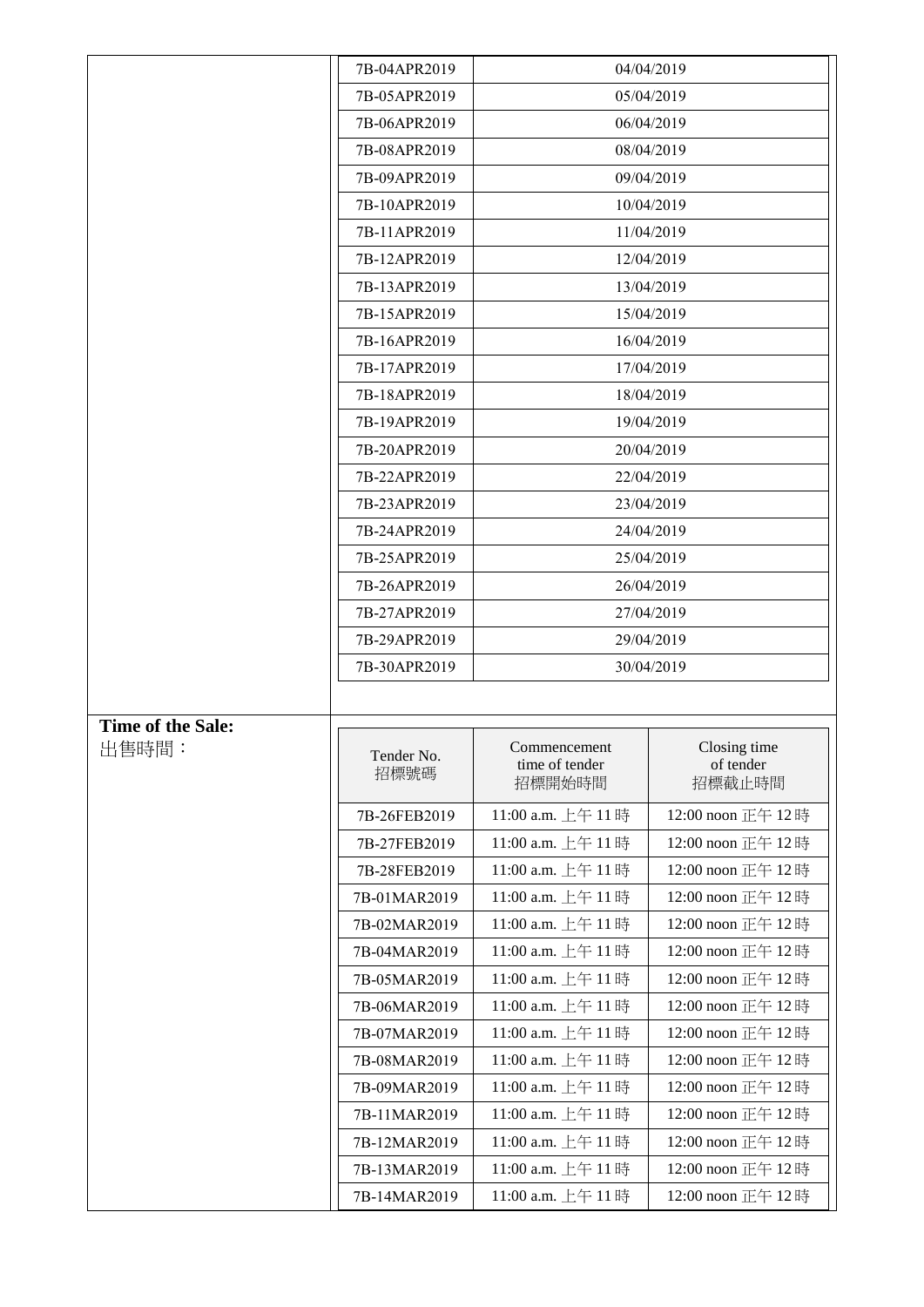|                   | 7B-04APR2019       |                                          | 04/04/2019                          |
|-------------------|--------------------|------------------------------------------|-------------------------------------|
|                   | 7B-05APR2019       |                                          | 05/04/2019                          |
|                   | 7B-06APR2019       |                                          | 06/04/2019                          |
|                   | 7B-08APR2019       |                                          | 08/04/2019                          |
|                   | 7B-09APR2019       |                                          | 09/04/2019                          |
|                   | 7B-10APR2019       |                                          | 10/04/2019                          |
|                   | 7B-11APR2019       |                                          | 11/04/2019                          |
|                   | 7B-12APR2019       |                                          | 12/04/2019                          |
|                   | 7B-13APR2019       |                                          | 13/04/2019                          |
|                   | 7B-15APR2019       |                                          | 15/04/2019                          |
|                   | 7B-16APR2019       |                                          | 16/04/2019                          |
|                   | 7B-17APR2019       |                                          | 17/04/2019                          |
|                   | 7B-18APR2019       |                                          | 18/04/2019                          |
|                   | 7B-19APR2019       |                                          | 19/04/2019                          |
|                   | 7B-20APR2019       |                                          | 20/04/2019                          |
|                   | 7B-22APR2019       |                                          | 22/04/2019                          |
|                   | 7B-23APR2019       |                                          | 23/04/2019                          |
|                   | 7B-24APR2019       |                                          | 24/04/2019                          |
|                   | 7B-25APR2019       |                                          | 25/04/2019                          |
|                   | 7B-26APR2019       |                                          | 26/04/2019                          |
|                   | 7B-27APR2019       |                                          | 27/04/2019                          |
|                   | 7B-29APR2019       |                                          | 29/04/2019                          |
|                   | 7B-30APR2019       |                                          | 30/04/2019                          |
|                   |                    |                                          |                                     |
| Time of the Sale: |                    |                                          |                                     |
| 出售時間:             | Tender No.<br>招標號碼 | Commencement<br>time of tender<br>招標開始時間 | Closing time<br>of tender<br>招標截止時間 |
|                   | 7B-26FEB2019       | 11:00 a.m. 上午 11時                        | 12:00 noon 正午 12時                   |
|                   | 7B-27FEB2019       | 11:00 a.m. 上午 11時                        | 12:00 noon 正午 12時                   |
|                   | 7B-28FEB2019       | 11:00 a.m. 上午 11時                        | 12:00 noon 正午 12時                   |
|                   | 7B-01MAR2019       | 11:00 a.m. 上午 11時                        | 12:00 noon 正午 12時                   |
|                   | 7B-02MAR2019       | 11:00 a.m. 上午 11時                        | 12:00 noon 正午 12時                   |
|                   | 7B-04MAR2019       | 11:00 a.m. 上午 11時                        | 12:00 noon 正午 12時                   |
|                   | 7B-05MAR2019       | 11:00 a.m. 上午 11時                        |                                     |
|                   |                    |                                          | 12:00 noon 正午 12時                   |
|                   | 7B-06MAR2019       | 11:00 a.m. 上午 11時                        | 12:00 noon 正午 12時                   |
|                   | 7B-07MAR2019       | 11:00 a.m. 上午 11時                        | 12:00 noon 正午 12時                   |
|                   | 7B-08MAR2019       | 11:00 a.m. 上午 11時                        | 12:00 noon 正午 12時                   |
|                   | 7B-09MAR2019       | 11:00 a.m. 上午 11時                        | 12:00 noon 正午 12時                   |
|                   | 7B-11MAR2019       | 11:00 a.m. 上午 11時                        | 12:00 noon 正午 12時                   |
|                   | 7B-12MAR2019       | 11:00 a.m. 上午 11時                        | 12:00 noon 正午 12時                   |
|                   | 7B-13MAR2019       | 11:00 a.m. 上午 11時                        | 12:00 noon 正午 12時                   |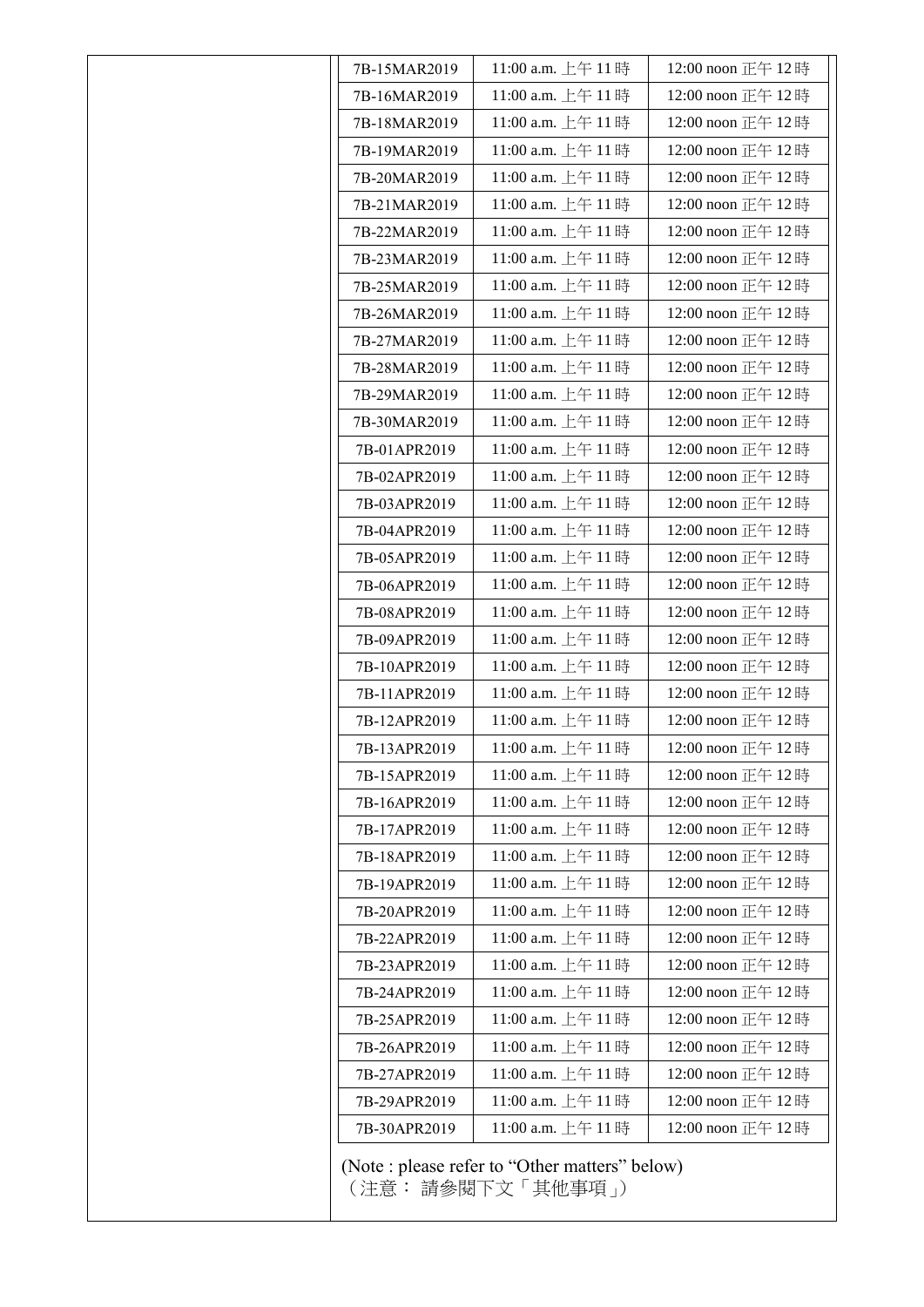| 7B-15MAR2019 | 11:00 a.m. 上午 11時  | 12:00 noon 正午 12時 |
|--------------|--------------------|-------------------|
| 7B-16MAR2019 | 11:00 a.m. 上午 11時  | 12:00 noon 正午 12時 |
| 7B-18MAR2019 | 11:00 a.m. 上午 11時  | 12:00 noon 正午 12時 |
| 7B-19MAR2019 | 11:00 a.m. 上午 11時  | 12:00 noon 正午 12時 |
| 7B-20MAR2019 | 11:00 a.m. 上午 11時  | 12:00 noon 正午 12時 |
| 7B-21MAR2019 | 11:00 a.m. 上午 11時  | 12:00 noon 正午 12時 |
| 7B-22MAR2019 | 11:00 a.m. 上午 11時  | 12:00 noon 正午 12時 |
| 7B-23MAR2019 | 11:00 a.m. 上午 11時  | 12:00 noon 正午 12時 |
| 7B-25MAR2019 | 11:00 a.m. 上午 11時  | 12:00 noon 正午 12時 |
| 7B-26MAR2019 | 11:00 a.m. 上午 11時  | 12:00 noon 正午 12時 |
| 7B-27MAR2019 | 11:00 a.m. 上午 11時  | 12:00 noon 正午 12時 |
| 7B-28MAR2019 | 11:00 a.m. 上午 11時  | 12:00 noon 正午 12時 |
| 7B-29MAR2019 | 11:00 a.m. 上午 11時  | 12:00 noon 正午 12時 |
| 7B-30MAR2019 | 11:00 a.m. 上午 11時  | 12:00 noon 正午 12時 |
| 7B-01APR2019 | 11:00 a.m. 上午 11時  | 12:00 noon 正午 12時 |
| 7B-02APR2019 | 11:00 a.m. 上午 11時  | 12:00 noon 正午 12時 |
| 7B-03APR2019 | 11:00 a.m. 上午 11時  | 12:00 noon 正午 12時 |
| 7B-04APR2019 | 11:00 a.m. 上午 11時  | 12:00 noon 正午 12時 |
| 7B-05APR2019 | 11:00 a.m. 上午 11時  | 12:00 noon 正午 12時 |
| 7B-06APR2019 | 11:00 a.m. 上午 11時  | 12:00 noon 正午 12時 |
| 7B-08APR2019 | 11:00 a.m. 上午 11時  | 12:00 noon 正午 12時 |
| 7B-09APR2019 | 11:00 a.m. 上午 11時  | 12:00 noon 正午 12時 |
| 7B-10APR2019 | 11:00 a.m. 上午 11時  | 12:00 noon 正午 12時 |
| 7B-11APR2019 | 11:00 a.m. 上午 11時  | 12:00 noon 正午 12時 |
| 7B-12APR2019 | 11:00 a.m. 上午 11時  | 12:00 noon 正午 12時 |
| 7B-13APR2019 | 11:00 a.m. 上午 11 時 | 12:00 noon 正午 12時 |
| 7B-15APR2019 | 11:00 a.m. 上午 11時  | 12:00 noon 正午 12時 |
| 7B-16APR2019 | 11:00 a.m. 上午 11時  | 12:00 noon 正午 12時 |
| 7B-17APR2019 | 11:00 a.m. 上午 11時  | 12:00 noon 正午 12時 |
| 7B-18APR2019 | 11:00 a.m. 上午 11時  | 12:00 noon 正午 12時 |
| 7B-19APR2019 | 11:00 a.m. 上午 11時  | 12:00 noon 正午 12時 |
| 7B-20APR2019 | 11:00 a.m. 上午 11時  | 12:00 noon 正午 12時 |
| 7B-22APR2019 | 11:00 a.m. 上午 11時  | 12:00 noon 正午 12時 |
| 7B-23APR2019 | 11:00 a.m. 上午 11時  | 12:00 noon 正午 12時 |
| 7B-24APR2019 | 11:00 a.m. 上午 11時  | 12:00 noon 正午 12時 |
| 7B-25APR2019 | 11:00 a.m. 上午 11時  | 12:00 noon 正午 12時 |
| 7B-26APR2019 | 11:00 a.m. 上午 11時  | 12:00 noon 正午 12時 |
| 7B-27APR2019 | 11:00 a.m. 上午 11時  | 12:00 noon 正午 12時 |
| 7B-29APR2019 | 11:00 a.m. 上午 11時  | 12:00 noon 正午 12時 |
| 7B-30APR2019 | 11:00 a.m. 上午 11時  | 12:00 noon 正午 12時 |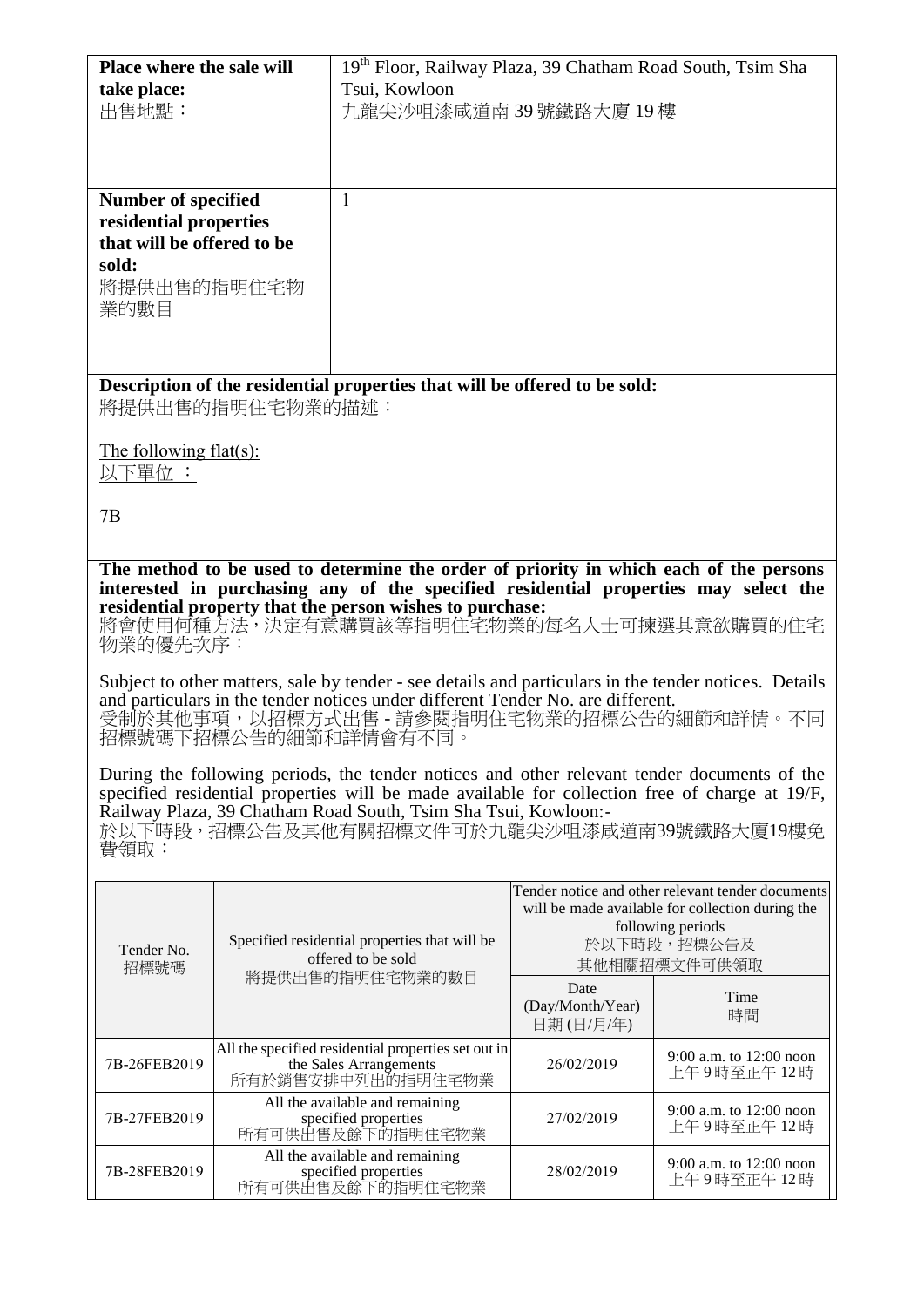| Place where the sale will<br>take place:<br>出售地點:                                                                                                                                                                                                                                                                    |                  | 19th Floor, Railway Plaza, 39 Chatham Road South, Tsim Sha<br>Tsui, Kowloon<br>九龍尖沙咀漆咸道南 39號鐵路大廈 19樓                                                                                                                                                                                |                          |                                                                                                                                                                   |
|----------------------------------------------------------------------------------------------------------------------------------------------------------------------------------------------------------------------------------------------------------------------------------------------------------------------|------------------|-------------------------------------------------------------------------------------------------------------------------------------------------------------------------------------------------------------------------------------------------------------------------------------|--------------------------|-------------------------------------------------------------------------------------------------------------------------------------------------------------------|
| <b>Number of specified</b><br>residential properties<br>that will be offered to be<br>sold:<br>將提供出售的指明住宅物<br>業的數目                                                                                                                                                                                                   |                  | $\mathbf{1}$                                                                                                                                                                                                                                                                        |                          |                                                                                                                                                                   |
|                                                                                                                                                                                                                                                                                                                      | 將提供出售的指明住宅物業的描述: | Description of the residential properties that will be offered to be sold:                                                                                                                                                                                                          |                          |                                                                                                                                                                   |
| The following flat(s):<br>以下單位 :                                                                                                                                                                                                                                                                                     |                  |                                                                                                                                                                                                                                                                                     |                          |                                                                                                                                                                   |
| 7B                                                                                                                                                                                                                                                                                                                   |                  |                                                                                                                                                                                                                                                                                     |                          |                                                                                                                                                                   |
| 物業的優先次序:                                                                                                                                                                                                                                                                                                             |                  | The method to be used to determine the order of priority in which each of the persons<br>interested in purchasing any of the specified residential properties may select the<br>residential property that the person wishes to purchase:<br>將會使用何種方法,決定有意購買該等指明住宅物業的每名人士可揀選其意欲購買的住宅 |                          |                                                                                                                                                                   |
| Subject to other matters, sale by tender - see details and particulars in the tender notices. Details<br>and particulars in the tender notices under different Tender No. are different.<br>受制於其他事項,以招標方式出售 - 請參閱指明住宅物業的招標公告的細節和詳情。不同<br>招標號碼下招標公告的細節和詳情會有不同。                                                        |                  |                                                                                                                                                                                                                                                                                     |                          |                                                                                                                                                                   |
| During the following periods, the tender notices and other relevant tender documents of the<br>specified residential properties will be made available for collection free of charge at 19/F,<br>Railway Plaza, 39 Chatham Road South, Tsim Sha Tsui, Kowloon:-<br>於以下時段,招標公告及其他有關招標文件可於九龍尖沙咀漆咸道南39號鐵路大廈19樓免<br>費領取: |                  |                                                                                                                                                                                                                                                                                     |                          |                                                                                                                                                                   |
| Tender No.<br>招標號碼                                                                                                                                                                                                                                                                                                   |                  | Specified residential properties that will be<br>offered to be sold<br>將提供出售的指明住宅物業的數目                                                                                                                                                                                              | Date<br>(Day/Month/Year) | Tender notice and other relevant tender documents<br>will be made available for collection during the<br>following periods<br>於以下時段,招標公告及<br>其他相關招標文件可供領取<br>Time |
| 7B-26FEB2019                                                                                                                                                                                                                                                                                                         |                  | All the specified residential properties set out in<br>the Sales Arrangements                                                                                                                                                                                                       | 日期(日/月/年)<br>26/02/2019  | 時間<br>9:00 a.m. to 12:00 noon                                                                                                                                     |

the Sales Arrangements 所有於銷售安排中列出的指明住宅物業

All the available and remaining specified properties 所有可供出售及餘下的指明住宅物業

All the available and remaining specified properties 所有可供出售及餘下的指明住宅物業 上午 9 時至正午 12 時

上午 9 時至正午 12 時

27/02/2019 9:00 a.m. to 12:00 noon

28/02/2019 9:00 a.m. to 12:00 noon 上午 9 時至正午 12 時

7B-27FEB2019

7B-28FEB2019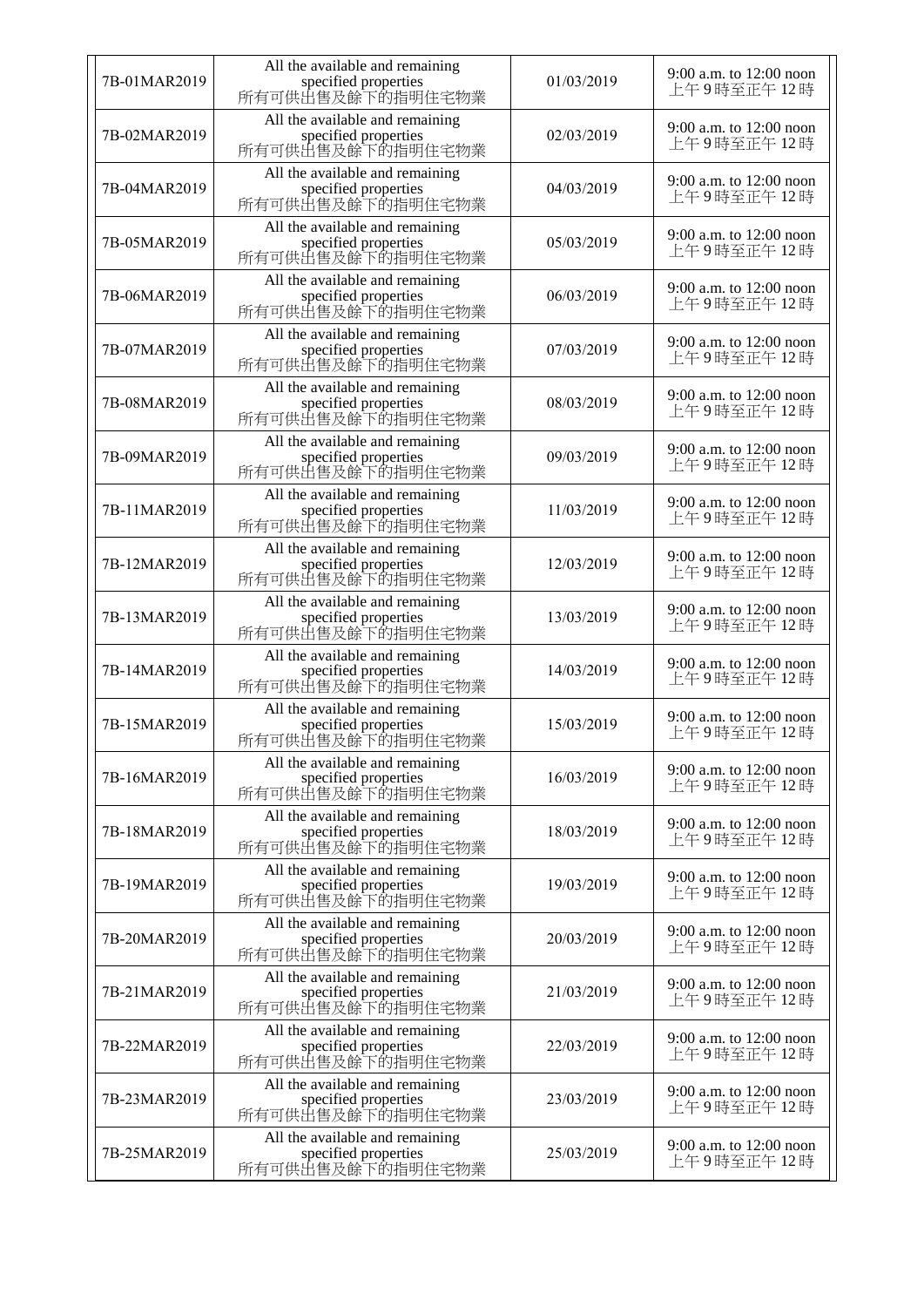| 7B-01MAR2019 | All the available and remaining<br>specified properties<br>所有可供出售及餘下的指明住宅物業 | 01/03/2019 | 9:00 a.m. to $12:00$ noon<br>上午9時至正午12時 |
|--------------|-----------------------------------------------------------------------------|------------|-----------------------------------------|
| 7B-02MAR2019 | All the available and remaining<br>specified properties<br>所有可供出售及餘下的指明住宅物業 | 02/03/2019 | 9:00 a.m. to 12:00 noon<br>上午9時至正午12時   |
| 7B-04MAR2019 | All the available and remaining<br>specified properties<br>所有可供出售及餘下的指明住宅物業 | 04/03/2019 | 9:00 a.m. to 12:00 noon<br>上午9時至正午12時   |
| 7B-05MAR2019 | All the available and remaining<br>specified properties<br>所有可供出售及餘下的指明住宅物業 | 05/03/2019 | 9:00 a.m. to 12:00 noon<br>上午9時至正午12時   |
| 7B-06MAR2019 | All the available and remaining<br>specified properties<br>所有可供出售及餘下的指明住宅物業 | 06/03/2019 | 9:00 a.m. to 12:00 noon<br>上午9時至正午12時   |
| 7B-07MAR2019 | All the available and remaining<br>specified properties<br>所有可供出售及餘下的指明住宅物業 | 07/03/2019 | 9:00 a.m. to 12:00 noon<br>上午9時至正午12時   |
| 7B-08MAR2019 | All the available and remaining<br>specified properties<br>所有可供出售及餘下的指明住宅物業 | 08/03/2019 | 9:00 a.m. to 12:00 noon<br>上午9時至正午12時   |
| 7B-09MAR2019 | All the available and remaining<br>specified properties<br>所有可供出售及餘下的指明住宅物業 | 09/03/2019 | 9:00 a.m. to $12:00$ noon<br>上午9時至正午12時 |
| 7B-11MAR2019 | All the available and remaining<br>specified properties<br>所有可供出售及餘下的指明住宅物業 | 11/03/2019 | 9:00 a.m. to 12:00 noon<br>上午9時至正午12時   |
| 7B-12MAR2019 | All the available and remaining<br>specified properties<br>所有可供出售及餘下的指明住宅物業 | 12/03/2019 | 9:00 a.m. to 12:00 noon<br>上午9時至正午12時   |
| 7B-13MAR2019 | All the available and remaining<br>specified properties<br>所有可供出售及餘下的指明住宅物業 | 13/03/2019 | 9:00 a.m. to 12:00 noon<br>上午9時至正午12時   |
| 7B-14MAR2019 | All the available and remaining<br>specified properties<br>所有可供出售及餘下的指明住宅物業 | 14/03/2019 | 9:00 a.m. to 12:00 noon<br>上午9時至正午12時   |
| 7B-15MAR2019 | All the available and remaining<br>specified properties<br>所有可供出售及餘下的指明住宅物業 | 15/03/2019 | 9:00 a.m. to 12:00 noon<br>上午9時至正午12時   |
| 7B-16MAR2019 | All the available and remaining<br>specified properties<br>所有可供出售及餘下的指明住宅物業 | 16/03/2019 | 9:00 a.m. to 12:00 noon<br>上午9時至正午12時   |
| 7B-18MAR2019 | All the available and remaining<br>specified properties<br>所有可供出售及餘下的指明住宅物業 | 18/03/2019 | 9:00 a.m. to 12:00 noon<br>上午9時至正午12時   |
| 7B-19MAR2019 | All the available and remaining<br>specified properties<br>所有可供出售及餘下的指明住宅物業 | 19/03/2019 | 9:00 a.m. to 12:00 noon<br>上午9時至正午12時   |
| 7B-20MAR2019 | All the available and remaining<br>specified properties<br>所有可供出售及餘下的指明住宅物業 | 20/03/2019 | 9:00 a.m. to 12:00 noon<br>上午9時至正午12時   |
| 7B-21MAR2019 | All the available and remaining<br>specified properties<br>所有可供出售及餘下的指明住宅物業 | 21/03/2019 | 9:00 a.m. to 12:00 noon<br>上午9時至正午12時   |
| 7B-22MAR2019 | All the available and remaining<br>specified properties<br>所有可供出售及餘下的指明住宅物業 | 22/03/2019 | 9:00 a.m. to 12:00 noon<br>上午9時至正午12時   |
| 7B-23MAR2019 | All the available and remaining<br>specified properties<br>所有可供出售及餘下的指明住宅物業 | 23/03/2019 | 9:00 a.m. to $12:00$ noon<br>上午9時至正午12時 |
| 7B-25MAR2019 | All the available and remaining<br>specified properties<br>所有可供出售及餘下的指明住宅物業 | 25/03/2019 | 9:00 a.m. to 12:00 noon<br>上午9時至正午12時   |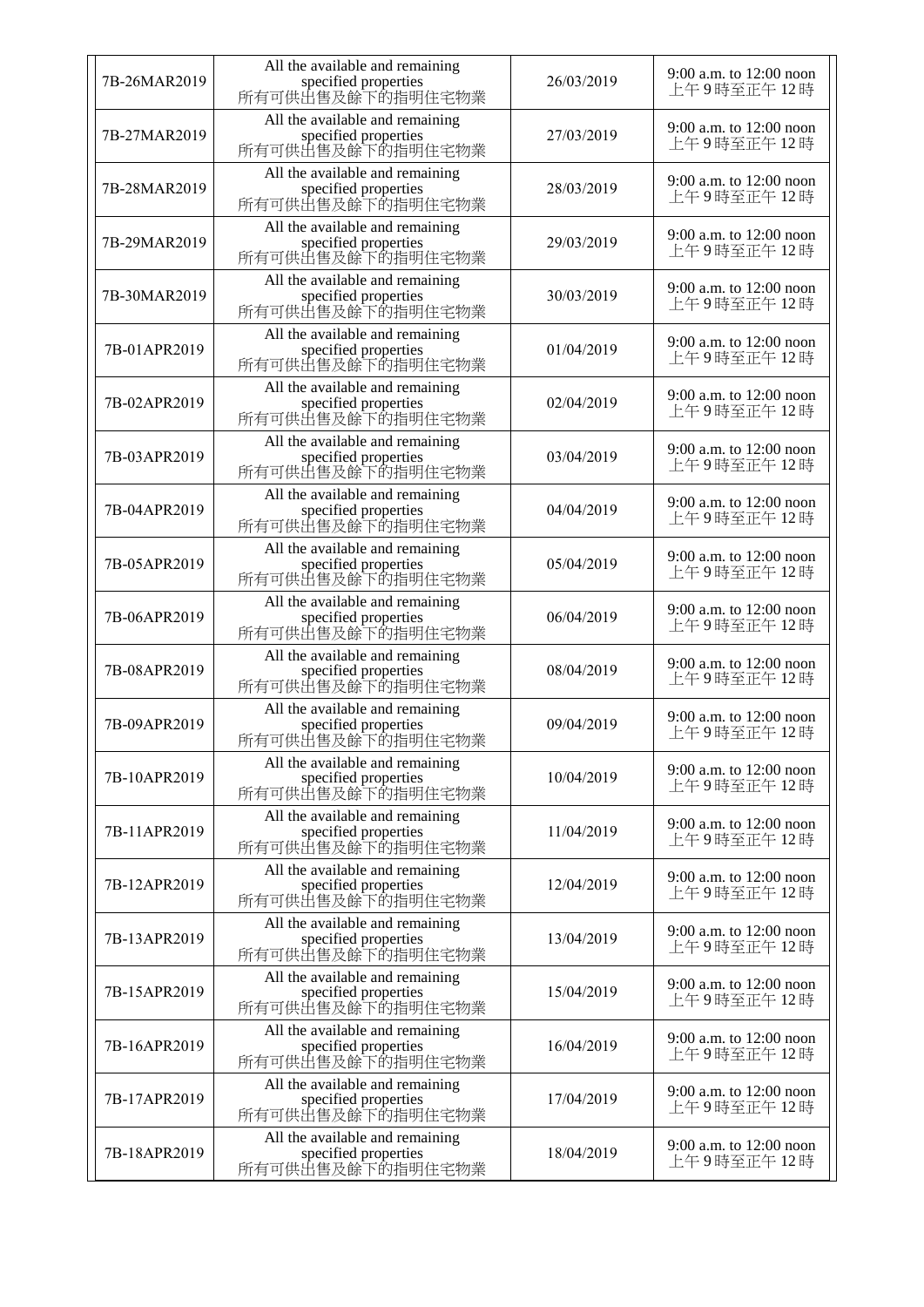| 7B-26MAR2019 | All the available and remaining<br>specified properties<br>所有可供出售及餘下的指明住宅物業 | 26/03/2019 | 9:00 a.m. to $12:00$ noon<br>上午9時至正午12時 |
|--------------|-----------------------------------------------------------------------------|------------|-----------------------------------------|
| 7B-27MAR2019 | All the available and remaining<br>specified properties<br>所有可供出售及餘下的指明住宅物業 | 27/03/2019 | 9:00 a.m. to 12:00 noon<br>上午9時至正午12時   |
| 7B-28MAR2019 | All the available and remaining<br>specified properties<br>所有可供出售及餘下的指明住宅物業 | 28/03/2019 | 9:00 a.m. to 12:00 noon<br>上午9時至正午12時   |
| 7B-29MAR2019 | All the available and remaining<br>specified properties<br>所有可供出售及餘下的指明住宅物業 | 29/03/2019 | 9:00 a.m. to 12:00 noon<br>上午9時至正午12時   |
| 7B-30MAR2019 | All the available and remaining<br>specified properties<br>所有可供出售及餘下的指明住宅物業 | 30/03/2019 | 9:00 a.m. to 12:00 noon<br>上午9時至正午12時   |
| 7B-01APR2019 | All the available and remaining<br>specified properties<br>所有可供出售及餘下的指明住宅物業 | 01/04/2019 | 9:00 a.m. to 12:00 noon<br>上午9時至正午12時   |
| 7B-02APR2019 | All the available and remaining<br>specified properties<br>所有可供出售及餘下的指明住宅物業 | 02/04/2019 | 9:00 a.m. to 12:00 noon<br>上午9時至正午12時   |
| 7B-03APR2019 | All the available and remaining<br>specified properties<br>所有可供出售及餘下的指明住宅物業 | 03/04/2019 | 9:00 a.m. to $12:00$ noon<br>上午9時至正午12時 |
| 7B-04APR2019 | All the available and remaining<br>specified properties<br>所有可供出售及餘下的指明住宅物業 | 04/04/2019 | 9:00 a.m. to 12:00 noon<br>上午9時至正午12時   |
| 7B-05APR2019 | All the available and remaining<br>specified properties<br>所有可供出售及餘下的指明住宅物業 | 05/04/2019 | 9:00 a.m. to 12:00 noon<br>上午9時至正午12時   |
| 7B-06APR2019 | All the available and remaining<br>specified properties<br>所有可供出售及餘下的指明住宅物業 | 06/04/2019 | 9:00 a.m. to 12:00 noon<br>上午9時至正午12時   |
| 7B-08APR2019 | All the available and remaining<br>specified properties<br>所有可供出售及餘下的指明住宅物業 | 08/04/2019 | 9:00 a.m. to 12:00 noon<br>上午9時至正午12時   |
| 7B-09APR2019 | All the available and remaining<br>specified properties<br>所有可供出售及餘下的指明住宅物業 | 09/04/2019 | 9:00 a.m. to 12:00 noon<br>上午9時至正午12時   |
| 7B-10APR2019 | All the available and remaining<br>specified properties<br>所有可供出售及餘下的指明住宅物業 | 10/04/2019 | 9:00 a.m. to 12:00 noon<br>上午9時至正午12時   |
| 7B-11APR2019 | All the available and remaining<br>specified properties<br>所有可供出售及餘下的指明住宅物業 | 11/04/2019 | 9:00 a.m. to 12:00 noon<br>上午9時至正午12時   |
| 7B-12APR2019 | All the available and remaining<br>specified properties<br>所有可供出售及餘下的指明住宅物業 | 12/04/2019 | 9:00 a.m. to 12:00 noon<br>上午9時至正午12時   |
| 7B-13APR2019 | All the available and remaining<br>specified properties<br>所有可供出售及餘下的指明住宅物業 | 13/04/2019 | 9:00 a.m. to 12:00 noon<br>上午9時至正午12時   |
| 7B-15APR2019 | All the available and remaining<br>specified properties<br>所有可供出售及餘下的指明住宅物業 | 15/04/2019 | 9:00 a.m. to 12:00 noon<br>上午9時至正午12時   |
| 7B-16APR2019 | All the available and remaining<br>specified properties<br>所有可供出售及餘下的指明住宅物業 | 16/04/2019 | 9:00 a.m. to 12:00 noon<br>上午9時至正午12時   |
| 7B-17APR2019 | All the available and remaining<br>specified properties<br>所有可供出售及餘下的指明住宅物業 | 17/04/2019 | 9:00 a.m. to $12:00$ noon<br>上午9時至正午12時 |
| 7B-18APR2019 | All the available and remaining<br>specified properties<br>所有可供出售及餘下的指明住宅物業 | 18/04/2019 | 9:00 a.m. to 12:00 noon<br>上午9時至正午12時   |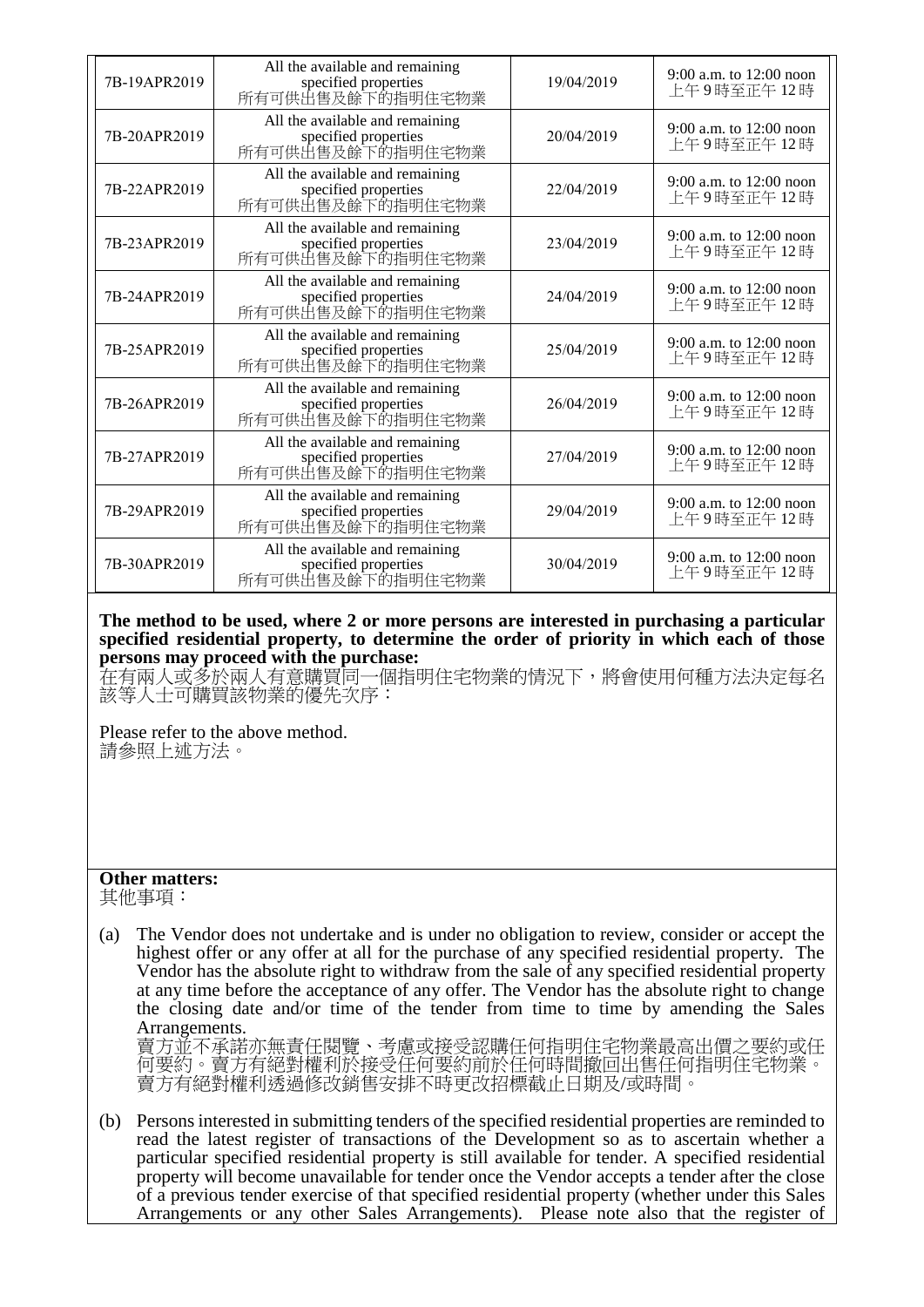| 7B-19APR2019 | All the available and remaining<br>specified properties<br>所有可供出售及餘下的指明住宅物業 | 19/04/2019 | 9:00 a.m. to $12:00$ noon<br>上午9時至正午12時 |
|--------------|-----------------------------------------------------------------------------|------------|-----------------------------------------|
| 7B-20APR2019 | All the available and remaining<br>specified properties<br>所有可供出售及餘下的指明住宅物業 | 20/04/2019 | 9:00 a.m. to $12:00$ noon<br>上午9時至正午12時 |
| 7B-22APR2019 | All the available and remaining<br>specified properties<br>所有可供出售及餘下的指明住宅物業 | 22/04/2019 | 9:00 a.m. to $12:00$ noon<br>上午9時至正午12時 |
| 7B-23APR2019 | All the available and remaining<br>specified properties<br>所有可供出售及餘下的指明住宅物業 | 23/04/2019 | 9:00 a.m. to 12:00 noon<br>上午9時至正午12時   |
| 7B-24APR2019 | All the available and remaining<br>specified properties<br>所有可供出售及餘下的指明住宅物業 | 24/04/2019 | 9:00 a.m. to 12:00 noon<br>上午9時至正午 12 時 |
| 7B-25APR2019 | All the available and remaining<br>specified properties<br>所有可供出售及餘下的指明住宅物業 | 25/04/2019 | 9:00 a.m. to 12:00 noon<br>上午9時至正午12時   |
| 7B-26APR2019 | All the available and remaining<br>specified properties<br>所有可供出售及餘下的指明住宅物業 | 26/04/2019 | 9:00 a.m. to 12:00 noon<br>上午9時至正午12時   |
| 7B-27APR2019 | All the available and remaining<br>specified properties<br>所有可供出售及餘下的指明住宅物業 | 27/04/2019 | 9:00 a.m. to 12:00 noon<br>上午9時至正午12時   |
| 7B-29APR2019 | All the available and remaining<br>specified properties<br>所有可供出售及餘下的指明住宅物業 | 29/04/2019 | 9:00 a.m. to 12:00 noon<br>上午9時至正午12時   |
| 7B-30APR2019 | All the available and remaining<br>specified properties<br>所有可供出售及餘下的指明住宅物業 | 30/04/2019 | 9:00 a.m. to 12:00 noon<br>上午9時至正午12時   |

**The method to be used, where 2 or more persons are interested in purchasing a particular specified residential property, to determine the order of priority in which each of those persons may proceed with the purchase:**

在有兩人或多於兩人有意購買同一個指明住宅物業的情況下,將會使用何種方法決定每名 該等人士可購買該物業的優先次序:

Please refer to the above method. 請參照上述方法。

## **Other matters:**

其他事項:

(a) The Vendor does not undertake and is under no obligation to review, consider or accept the highest offer or any offer at all for the purchase of any specified residential property. The Vendor has the absolute right to withdraw from the sale of any specified residential property at any time before the acceptance of any offer. The Vendor has the absolute right to change the closing date and/or time of the tender from time to time by amending the Sales Arrangements.

賣方並不承諾亦無責任閱覽、考慮或接受認購任何指明住宅物業最高出價之要約或任 何要約。賣方有絕對權利於接受任何要約前於任何時間撤回出售任何指明住宅物業。 賣方有絕對權利透過修改銷售安排不時更改招標截止日期及/或時間。

(b) Persons interested in submitting tenders of the specified residential properties are reminded to read the latest register of transactions of the Development so as to ascertain whether a particular specified residential property is still available for tender. A specified residential property will become unavailable for tender once the Vendor accepts a tender after the close of a previous tender exercise of that specified residential property (whether under this Sales Arrangements or any other Sales Arrangements). Please note also that the register of